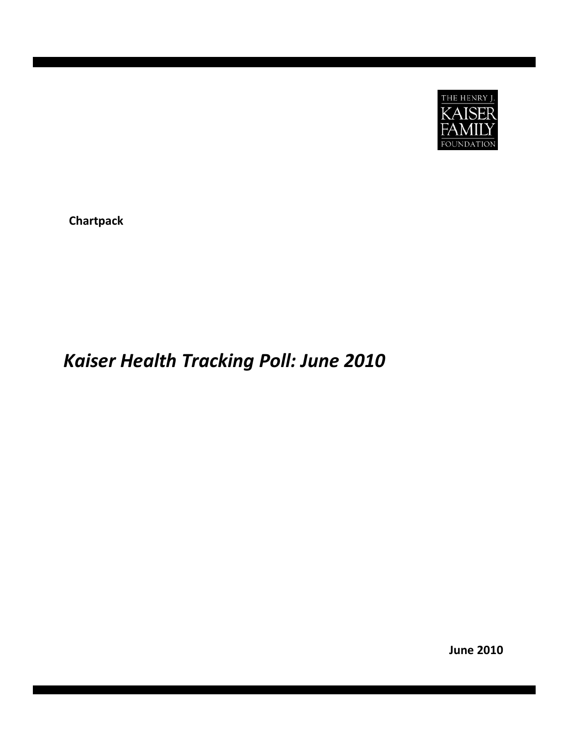

**Chartpack**

## *Kaiser Health Tracking Poll: June 2010*

**June 2010**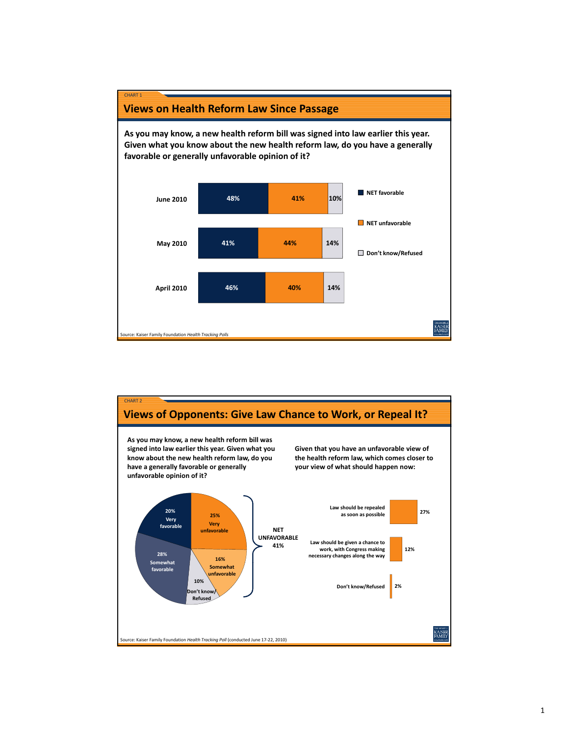

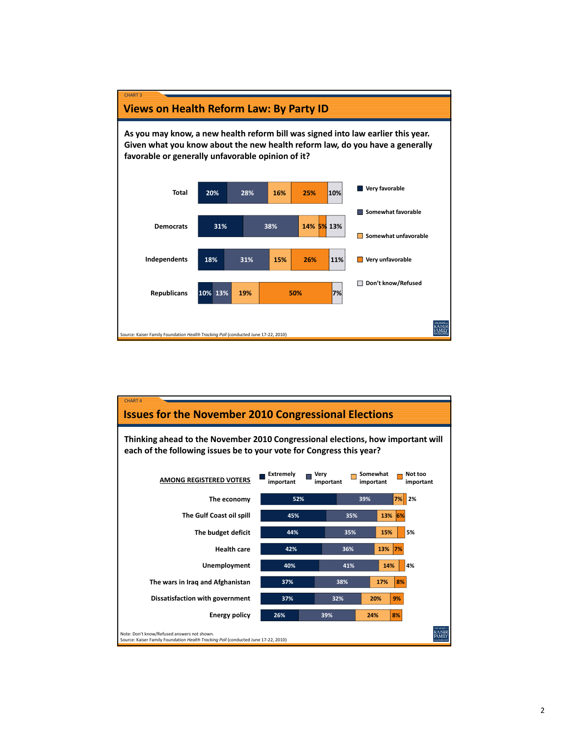

## CHART 4 **Issues for the November 2010 Congressional Elections Thinking ahead to the November 2010 Congressional elections, how important will each of the following issues be to your vote for Congress this year? Extreme Very E** Somewhat **E** Not too<br> **Extreme Important E** important **AMONG REGISTERED VOTERS 42% 44% 45% 52% 36% 35% 35% 39% 13% 7% 15% 13% 7% 5% 6% The economy 2% Health care The budget deficit The Gulf Coast oil spill important important important important 26% 37% 37% 40% 39% 32% 38% 41% 24% 20% 17% 14% 8% 9% 8% 4% The wars in Iraq and Afghanistan Unemployment Dissatisfaction with government Energy policy** Note: Don't know/Refused answers not shown.

Source: Kaiser Family Foundation *Health Tracking Poll* (conducted June 17‐22, 2010)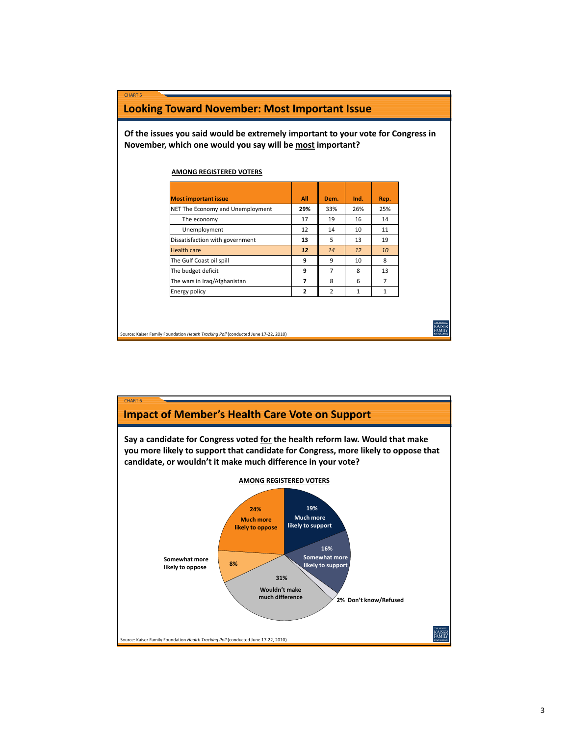| <b>CHART 5</b><br><b>Looking Toward November: Most Important Issue</b>                                                                        |                |                |              |                |  |  |
|-----------------------------------------------------------------------------------------------------------------------------------------------|----------------|----------------|--------------|----------------|--|--|
| Of the issues you said would be extremely important to your vote for Congress in<br>November, which one would you say will be most important? |                |                |              |                |  |  |
| <b>AMONG REGISTERED VOTERS</b>                                                                                                                |                |                |              |                |  |  |
| <b>Most important issue</b>                                                                                                                   | All            | Dem.           | Ind.         | Rep.           |  |  |
| NET The Economy and Unemployment                                                                                                              | 29%            | 33%            | 26%          | 25%            |  |  |
| The economy                                                                                                                                   | 17             | 19             | 16           | 14             |  |  |
| Unemployment                                                                                                                                  | 12             | 14             | 10           | 11             |  |  |
| Dissatisfaction with government                                                                                                               | 13             | 5              | 13           | 19             |  |  |
| <b>Health care</b>                                                                                                                            | 12             | 14             | 12           | 10             |  |  |
| The Gulf Coast oil spill                                                                                                                      | 9              | 9              | 10           | 8              |  |  |
| The budget deficit                                                                                                                            | 9              | $\overline{7}$ | 8            | 13             |  |  |
| The wars in Iraq/Afghanistan                                                                                                                  | $\overline{ }$ | 8              | 6            | $\overline{7}$ |  |  |
| Energy policy                                                                                                                                 | $\mathbf{2}$   | $\overline{2}$ | $\mathbf{1}$ | 1              |  |  |
|                                                                                                                                               |                |                |              |                |  |  |
| Source: Kaiser Family Foundation Health Tracking Poll (conducted June 17-22, 2010)                                                            |                |                |              |                |  |  |

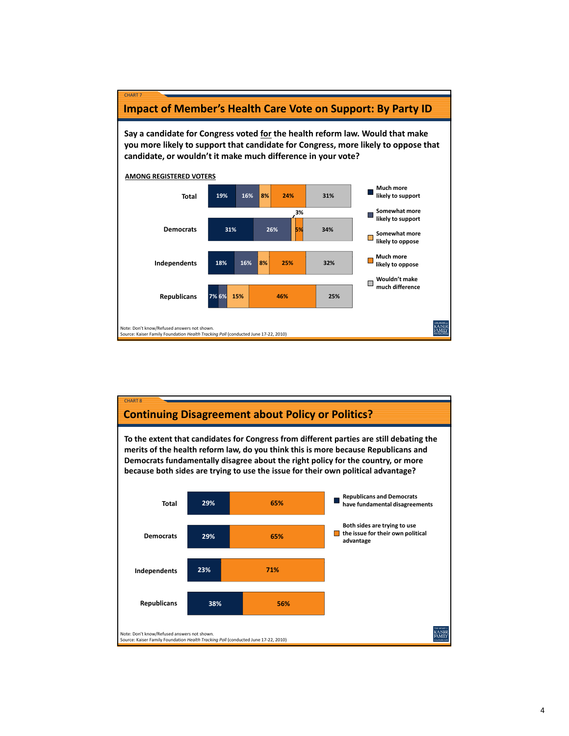

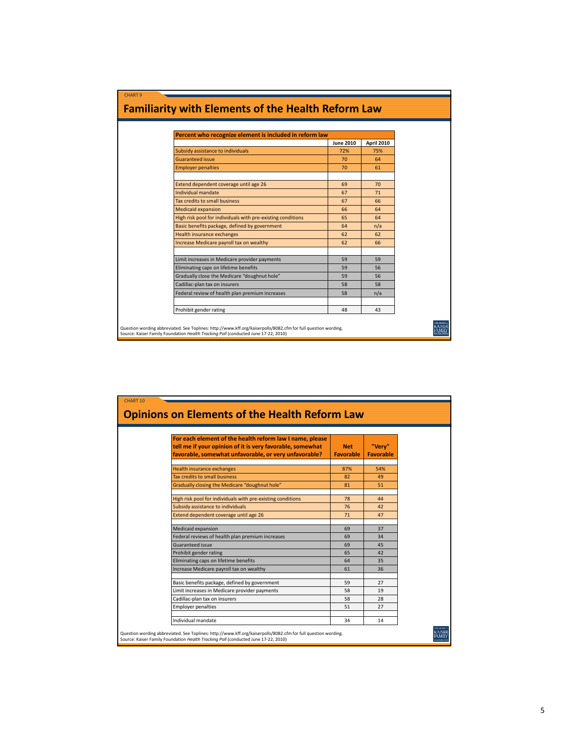| <b>Familiarity with Elements of the Health Reform Law</b>                                                                                                                                            |                                                         |            |  |  |  |  |  |
|------------------------------------------------------------------------------------------------------------------------------------------------------------------------------------------------------|---------------------------------------------------------|------------|--|--|--|--|--|
|                                                                                                                                                                                                      |                                                         |            |  |  |  |  |  |
|                                                                                                                                                                                                      | Percent who recognize element is included in reform law |            |  |  |  |  |  |
|                                                                                                                                                                                                      | <b>June 2010</b>                                        | April 2010 |  |  |  |  |  |
| Subsidy assistance to individuals                                                                                                                                                                    | 72%                                                     | 75%        |  |  |  |  |  |
| <b>Guaranteed issue</b>                                                                                                                                                                              | 70                                                      | 64         |  |  |  |  |  |
| <b>Employer penalties</b>                                                                                                                                                                            | 70                                                      | 61         |  |  |  |  |  |
|                                                                                                                                                                                                      |                                                         |            |  |  |  |  |  |
| Extend dependent coverage until age 26                                                                                                                                                               | 69                                                      | 70         |  |  |  |  |  |
| Individual mandate                                                                                                                                                                                   | 67                                                      | 71         |  |  |  |  |  |
| Tax credits to small business                                                                                                                                                                        | 67                                                      | 66         |  |  |  |  |  |
| <b>Medicaid expansion</b>                                                                                                                                                                            | 66                                                      | 64         |  |  |  |  |  |
| High risk pool for individuals with pre-existing conditions                                                                                                                                          | 65                                                      | 64         |  |  |  |  |  |
| Basic benefits package, defined by government                                                                                                                                                        | 64                                                      | n/a        |  |  |  |  |  |
| Health insurance exchanges                                                                                                                                                                           | 62                                                      | 62         |  |  |  |  |  |
| Increase Medicare payroll tax on wealthy                                                                                                                                                             | 62                                                      | 66         |  |  |  |  |  |
| Limit increases in Medicare provider payments                                                                                                                                                        | 59                                                      | 59         |  |  |  |  |  |
| Eliminating caps on lifetime benefits                                                                                                                                                                | 59                                                      | 56         |  |  |  |  |  |
| Gradually close the Medicare "doughnut hole"                                                                                                                                                         | 59                                                      | 56         |  |  |  |  |  |
| Cadillac-plan tax on insurers                                                                                                                                                                        | 58                                                      | 58         |  |  |  |  |  |
| Federal review of health plan premium increases                                                                                                                                                      | 58                                                      | n/a        |  |  |  |  |  |
|                                                                                                                                                                                                      |                                                         |            |  |  |  |  |  |
| Prohibit gender rating                                                                                                                                                                               | 48                                                      | 43         |  |  |  |  |  |
| Question wording abbreviated. See Toplines: http://www.kff.org/kaiserpolls/8082.cfm for full question wording.<br>Source: Kaiser Family Foundation Health Tracking Poll (conducted June 17-22, 2010) |                                                         |            |  |  |  |  |  |

CHART 9

| <b>CHART 10</b>                                                                                                                                                                                      |                                |                            |  |  |  |  |
|------------------------------------------------------------------------------------------------------------------------------------------------------------------------------------------------------|--------------------------------|----------------------------|--|--|--|--|
| <b>Opinions on Elements of the Health Reform Law</b>                                                                                                                                                 |                                |                            |  |  |  |  |
|                                                                                                                                                                                                      |                                |                            |  |  |  |  |
|                                                                                                                                                                                                      |                                |                            |  |  |  |  |
| For each element of the health reform law I name, please<br>tell me if your opinion of it is very favorable, somewhat<br>favorable, somewhat unfavorable, or very unfavorable?                       | <b>Net</b><br><b>Favorable</b> | "Verv"<br><b>Favorable</b> |  |  |  |  |
| Health insurance exchanges                                                                                                                                                                           | 87%                            | 54%                        |  |  |  |  |
| Tax credits to small business                                                                                                                                                                        | 82                             | 49                         |  |  |  |  |
| Gradually closing the Medicare "doughnut hole"                                                                                                                                                       | 81                             | 51                         |  |  |  |  |
| High risk pool for individuals with pre-existing conditions                                                                                                                                          | 78                             | 44                         |  |  |  |  |
| Subsidy assistance to individuals                                                                                                                                                                    | 76                             | 42                         |  |  |  |  |
| Extend dependent coverage until age 26                                                                                                                                                               | 71                             | 47                         |  |  |  |  |
| Medicaid expansion                                                                                                                                                                                   | 69                             | 37                         |  |  |  |  |
| Federal reviews of health plan premium increases                                                                                                                                                     | 69                             | 34                         |  |  |  |  |
| <b>Guaranteed issue</b>                                                                                                                                                                              | 69                             | 45                         |  |  |  |  |
| Prohibit gender rating                                                                                                                                                                               | 65                             | 42                         |  |  |  |  |
| Eliminating caps on lifetime benefits                                                                                                                                                                | 64                             | 35                         |  |  |  |  |
| Increase Medicare payroll tax on wealthy                                                                                                                                                             | 61                             | 36                         |  |  |  |  |
| Basic benefits package, defined by government                                                                                                                                                        | 59                             | 27                         |  |  |  |  |
| Limit increases in Medicare provider payments                                                                                                                                                        | 58                             | 19                         |  |  |  |  |
| Cadillac-plan tax on insurers                                                                                                                                                                        | 58                             | 28                         |  |  |  |  |
| <b>Employer penalties</b>                                                                                                                                                                            | 51                             | 27                         |  |  |  |  |
| Individual mandate                                                                                                                                                                                   | 34                             | 14                         |  |  |  |  |
| Question wording abbreviated. See Toplines: http://www.kff.org/kaiserpolls/8082.cfm for full question wording.<br>Source: Kaiser Family Foundation Health Tracking Poll (conducted June 17-22, 2010) |                                |                            |  |  |  |  |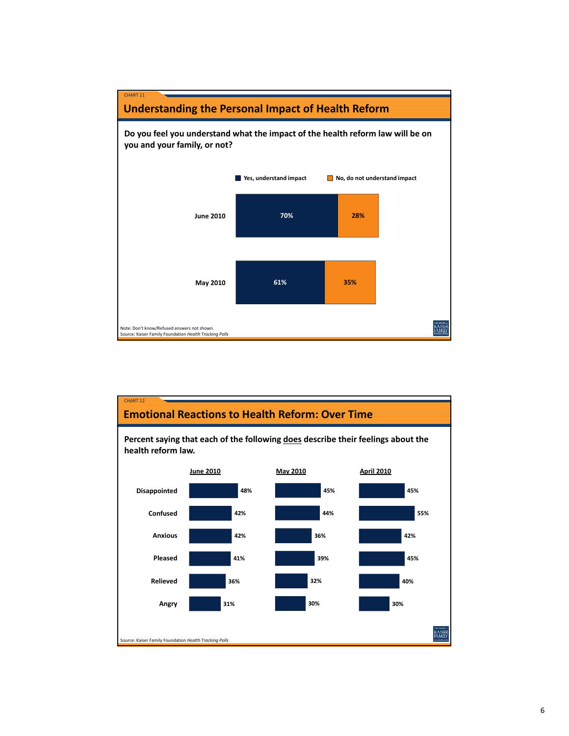

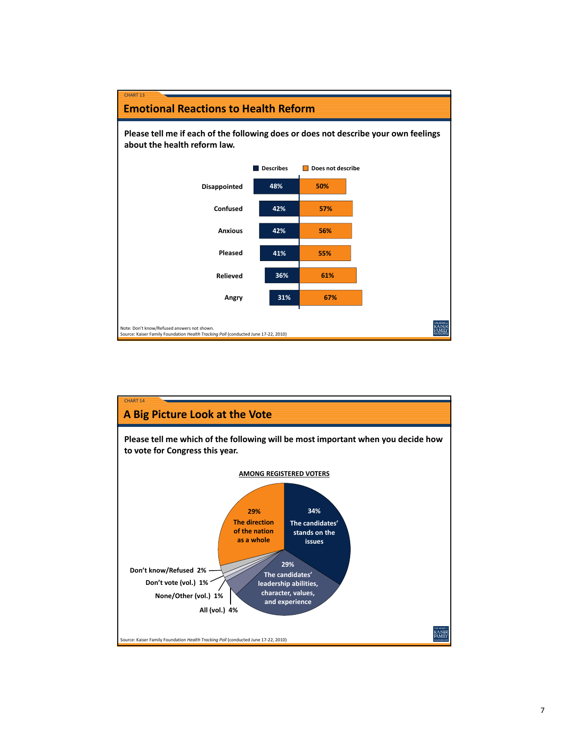

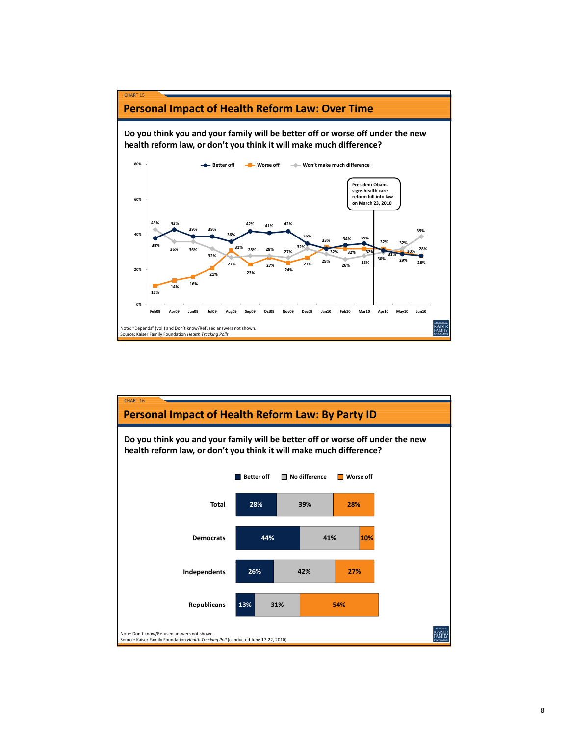

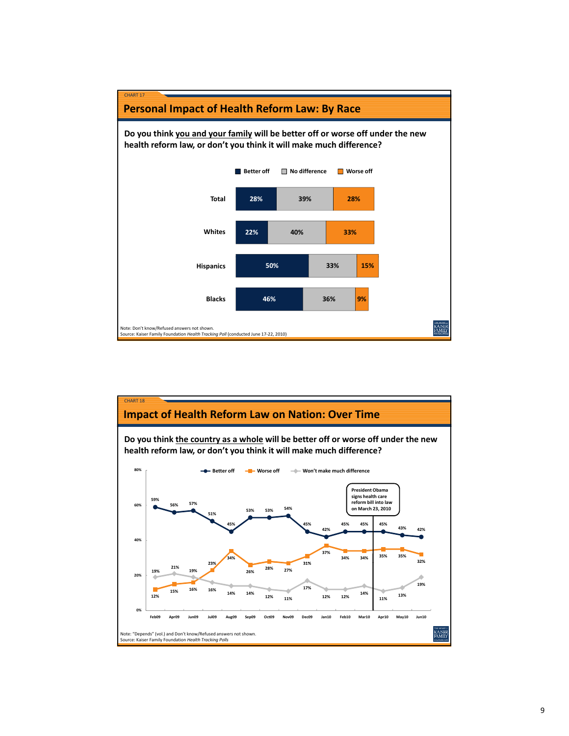

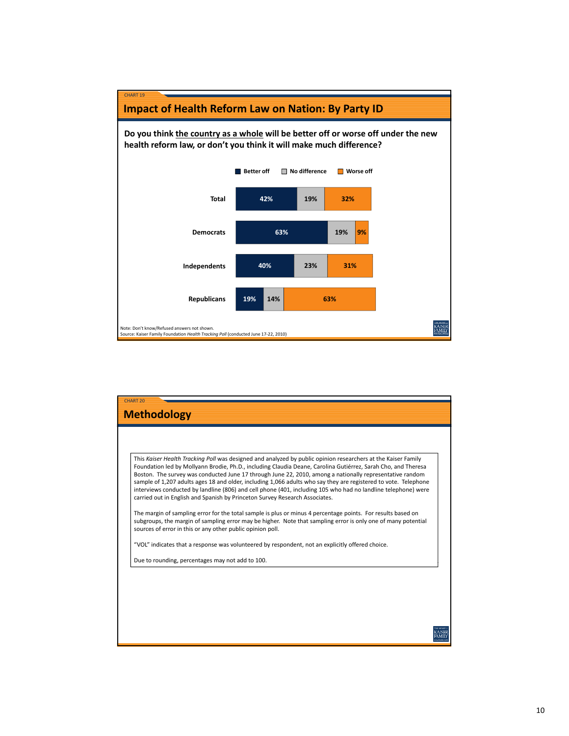